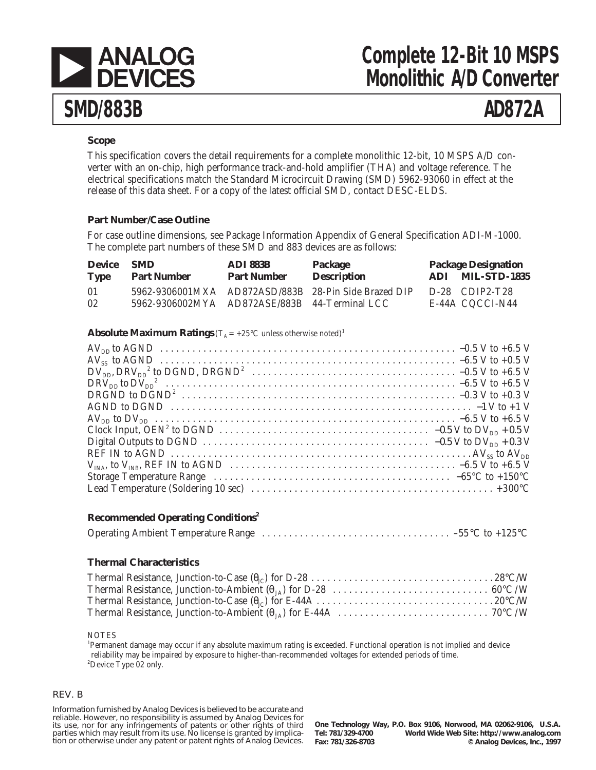

# **Complete 12-Bit 10 MSPS Monolithic A/D Converter**

## **Scope**

This specification covers the detail requirements for a complete monolithic 12-bit, 10 MSPS A/D converter with an on-chip, high performance track-and-hold amplifier (THA) and voltage reference. The electrical specifications match the Standard Microcircuit Drawing (SMD) 5962-93060 in effect at the release of this data sheet. For a copy of the latest official SMD, contact DESC-ELDS.

## **Part Number/Case Outline**

For case outline dimensions, see Package Information Appendix of General Specification ADI-M-1000. The complete part numbers of these SMD and 883 devices are as follows:

| <b>Device</b> | <b>SMD</b>                                    | <b>ADI 883B</b>    | Package                                              | <b>Package Designation</b>          |
|---------------|-----------------------------------------------|--------------------|------------------------------------------------------|-------------------------------------|
| <b>Type</b>   | <b>Part Number</b>                            | <b>Part Number</b> | <b>Description</b>                                   | ADI MIL-STD-1835                    |
| 01<br>02      | 5962-9306002MYA AD872ASE/883B 44-Terminal LCC |                    | 5962-9306001MXA AD872ASD/883B 28-Pin Side Brazed DIP | $D-28$ CDIP2-T28<br>E-44A CQCCI-N44 |

## **Absolute Maximum Ratings** ( $T_A = +25^\circ \text{C}$  unless otherwise noted)<sup>1</sup>

## **Recommended Operating Conditions2**

## **Thermal Characteristics**

#### NOTES

1 Permanent damage may occur if any absolute maximum rating is exceeded. Functional operation is not implied and device reliability may be impaired by exposure to higher-than-recommended voltages for extended periods of time. <sup>2</sup>Device Type 02 only.

#### REV. B

Information furnished by Analog Devices is believed to be accurate and reliable. However, no responsibility is assumed by Analog Devices for its use, nor for any infringements of patents or other rights of third parties which may result from its use. No license is granted by implication or otherwise under any patent or patent rights of Analog Devices.

**One Technology Way, P.O. Box 9106, Norwood, MA 02062-9106, U.S.A. Tel: 781/329-4700 World Wide Web Site: http://www.analog.com**  $©$  Analog Devices, Inc., 1997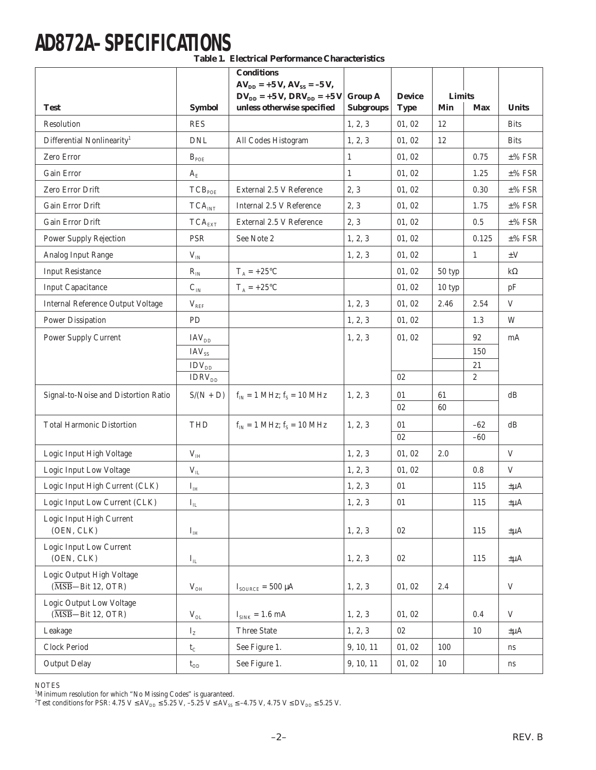# **AD872A–SPECIFICATIONS**

**Table 1. Electrical Performance Characteristics**

|                                                                                    |                               | <b>Conditions</b><br>$AV_{DD}$ = +5 V, $AV_{SS}$ = -5 V, |                  |               |               |                  |                           |
|------------------------------------------------------------------------------------|-------------------------------|----------------------------------------------------------|------------------|---------------|---------------|------------------|---------------------------|
|                                                                                    |                               | $DV_{DD}$ = +5 V, DRV <sub>DD</sub> = +5 V               | <b>Group A</b>   | <b>Device</b> | <b>Limits</b> |                  |                           |
| <b>Test</b>                                                                        | <b>Symbol</b>                 | unless otherwise specified                               | <b>Subgroups</b> | <b>Type</b>   | Min           | <b>Max</b>       | <b>Units</b>              |
| Resolution                                                                         | <b>RES</b>                    |                                                          | 1, 2, 3          | 01, 02        | 12            |                  | <b>Bits</b>               |
| Differential Nonlinearity <sup>1</sup>                                             | <b>DNL</b>                    | All Codes Histogram                                      | 1, 2, 3          | 01, 02        | 12            |                  | <b>Bits</b>               |
| Zero Error                                                                         | $B_{POE}$                     |                                                          | 1                | 01, 02        |               | 0.75             | $\pm\%$ FSR               |
| Gain Error                                                                         | $A_{E}$                       |                                                          | $\mathbf{1}$     | 01, 02        |               | 1.25             | $±%$ FSR                  |
| Zero Error Drift                                                                   | TCB <sub>POE</sub>            | External 2.5 V Reference                                 | 2, 3             | 01, 02        |               | 0.30             | $±%$ FSR                  |
| Gain Error Drift                                                                   | $TCA_{INT}$                   | Internal 2.5 V Reference                                 | 2, 3             | 01, 02        |               | 1.75             | $±%$ FSR                  |
| Gain Error Drift                                                                   | $\mathsf{TCA}_{\mathsf{EXT}}$ | External 2.5 V Reference                                 | 2, 3             | 01, 02        |               | 0.5              | $±%$ FSR                  |
| Power Supply Rejection                                                             | <b>PSR</b>                    | See Note 2                                               | 1, 2, 3          | 01, 02        |               | 0.125            | $\pm\%$ FSR               |
| Analog Input Range                                                                 | $\rm V_{\rm IN}$              |                                                          | 1, 2, 3          | 01, 02        |               | $\mathbf{1}$     | $\pm V$                   |
| <b>Input Resistance</b>                                                            | $R_{IN}$                      | $T_A = +25$ °C                                           |                  | 01, 02        | 50 typ        |                  | $k\Omega$                 |
| <b>Input Capacitance</b>                                                           | $C_{\rm IN}$                  | $T_A = +25$ °C                                           |                  | 01, 02        | 10 typ        |                  | pF                        |
| <b>Internal Reference Output Voltage</b>                                           | $V_{REF}$                     |                                                          | 1, 2, 3          | 01, 02        | 2.46          | 2.54             | $\mathbf V$               |
| Power Dissipation                                                                  | ${\rm PD}$                    |                                                          | 1, 2, 3          | 01, 02        |               | 1.3              | W                         |
| <b>Power Supply Current</b>                                                        | IAV <sub>DD</sub>             |                                                          | 1, 2, 3          | 01, 02        |               | 92               | mA                        |
|                                                                                    | IAV <sub>SS</sub>             |                                                          |                  |               |               | 150              |                           |
|                                                                                    | $\text{IDV}_{\text{DD}}$      |                                                          |                  |               |               | 21               |                           |
|                                                                                    | $\text{IDRV}_\text{DD}$       |                                                          |                  | 02            |               | $\boldsymbol{2}$ |                           |
| Signal-to-Noise and Distortion Ratio                                               | $S/(N + D)$                   | $\rm f_{IN} = 1~MHz;$ $\rm f_{S} = 10~MHz$               | 1, 2, 3          | 01            | 61            |                  | dB                        |
|                                                                                    |                               |                                                          |                  | 02            | 60            |                  |                           |
| <b>Total Harmonic Distortion</b>                                                   | <b>THD</b>                    | $f_{IN} = 1$ MHz; $f_S = 10$ MHz                         | 1, 2, 3          | 01<br>02      |               | $-62$<br>$-60$   | dB                        |
| Logic Input High Voltage                                                           | $\rm V_{\rm IH}$              |                                                          | 1, 2, 3          | 01, 02        | 2.0           |                  | V                         |
| Logic Input Low Voltage                                                            | $\rm V_{II}$                  |                                                          | 1, 2, 3          | 01, 02        |               | 0.8              | V                         |
| Logic Input High Current (CLK)                                                     | $I_{\rm IH}$                  |                                                          | 1, 2, 3          | 01            |               | 115              | $\pm \mu A$               |
| Logic Input Low Current (CLK)                                                      | $\mathbf{I}_{\rm IL}$         |                                                          | 1, 2, 3          | $01\,$        |               | $115\,$          | $\pm \mu A$               |
| Logic Input High Current                                                           |                               |                                                          |                  |               |               |                  |                           |
| (OEN, CLK)                                                                         | $\mathbf{I}_{\text{IH}}$      |                                                          | 1, 2, 3          | 02            |               | 115              | $\pm \mu A$               |
| Logic Input Low Current                                                            |                               |                                                          |                  |               |               |                  |                           |
| (OEN, CLK)                                                                         | $\mathbf{I}_{\text{IL}}$      |                                                          | 1, 2, 3          | 02            |               | 115              | $\pm \mu A$               |
| Logic Output High Voltage<br>$(\overline{\text{MSB}} - \text{Bit 12}, \text{OTR})$ | $\rm V_{OH}$                  | $I_{\text{SOLRCE}} = 500 \ \mu A$                        | 1, 2, 3          | 01, 02        | $2.4\,$       |                  | $\mathbf V$               |
| Logic Output Low Voltage<br>$(\overline{\text{MSB}} - \text{Bit 12}, \text{OTR})$  | $\rm V_{OL}$                  | $I_{SINK} = 1.6$ mA                                      | 1, 2, 3          | 01, 02        |               | 0.4              | $\ensuremath{\mathbf{V}}$ |
| Leakage                                                                            | $I_{Z}$                       | Three State                                              | 1, 2, 3          | 02            |               | 10               | $\pm \mu A$               |
| Clock Period                                                                       | $t_{C}$                       | See Figure 1.                                            | 9, 10, 11        | 01, 02        | 100           |                  | ns                        |
| <b>Output Delay</b>                                                                | $t_{OD}$                      | See Figure 1.                                            | 9, 10, 11        | 01, 02        | 10            |                  | ns                        |

NOTES

<sup>1</sup>Minimum resolution for which "No Missing Codes" is guaranteed.<br><sup>2</sup>Test conditions for PSR: 4.75 V ≤ AV<sub>DD</sub> ≤ 5.25 V, –5.25 V ≤ AV<sub>ss</sub> ≤ –4.75 V, 4.75 V ≤ DV<sub>DD</sub> ≤ 5.25 V.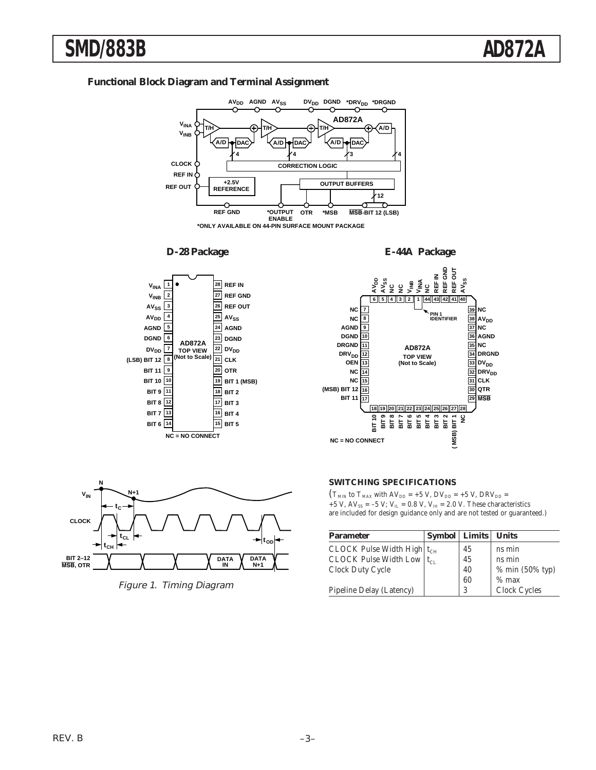# **SMD/883B AD872A**

# **Functional Block Diagram and Terminal Assignment**



**\*ONLY AVAILABLE ON 44-PIN SURFACE MOUNT PACKAGE**









Figure 1. Timing Diagram

#### **SWITCHING SPECIFICATIONS**

 $(T_{MIN}$  to  $T_{MAX}$  with  $AV_{DD} = +5$  V,  $DV_{DD} = +5$  V,  $DRV_{DD} =$ +5 V, AV<sub>SS</sub> = -5 V; V<sub>IL</sub> = 0.8 V, V<sub>IH</sub> = 2.0 V. These characteristics are included for design guidance only and are not tested or guaranteed.)

| <b>Parameter</b>                  | Symbol | Limits | <b>Units</b>    |
|-----------------------------------|--------|--------|-----------------|
| CLOCK Pulse Width High $ t_{CH} $ |        | 45     | ns min          |
| CLOCK Pulse Width Low $ t_{CL} $  |        | 45     | ns min          |
| Clock Duty Cycle                  |        | 40     | % min (50% typ) |
|                                   |        | 60     | $%$ max         |
| Pipeline Delay (Latency)          |        | 3      | Clock Cycles    |